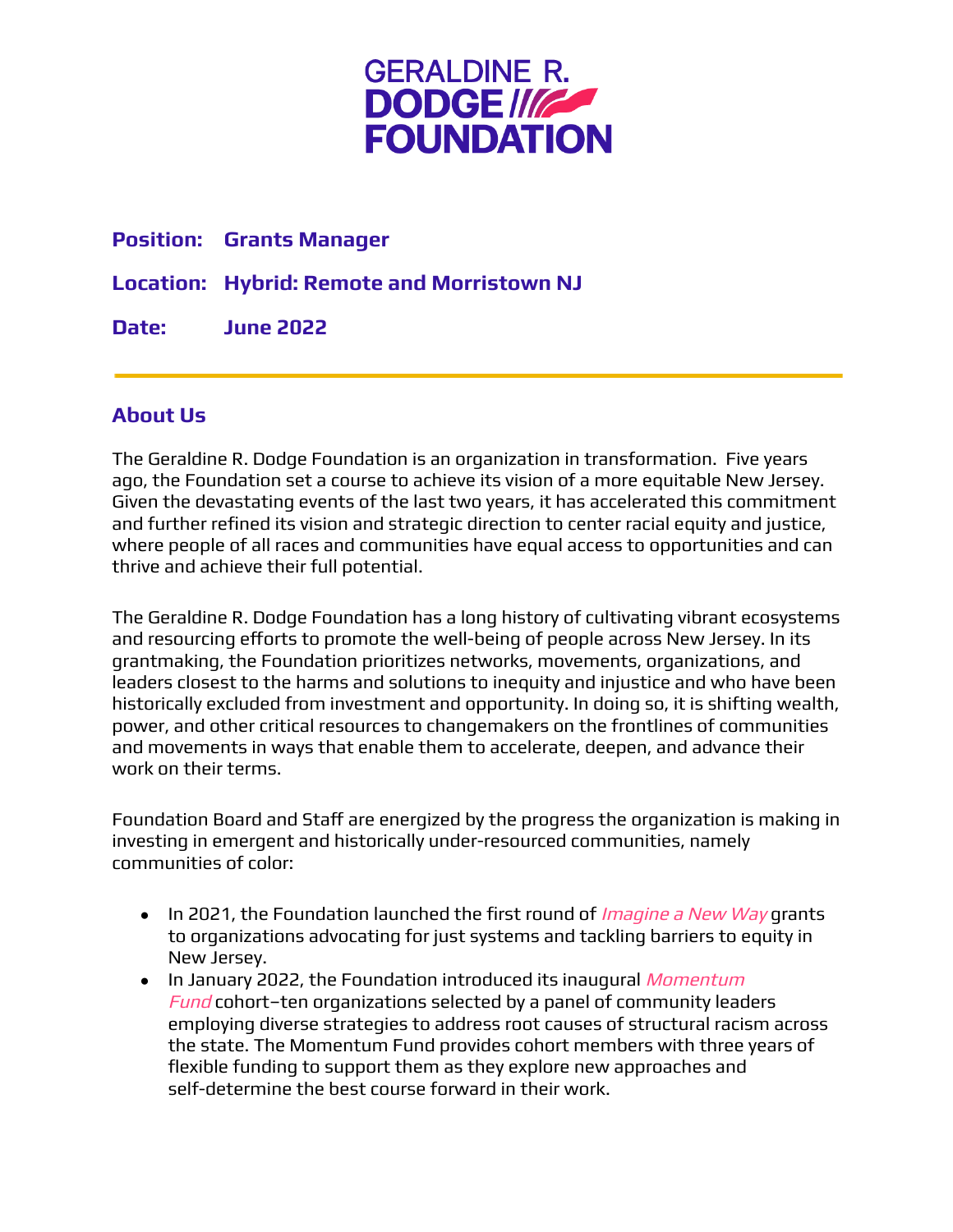

#### **Position: Grants Manager**

**Location: Hybrid: Remote and Morristown NJ**

**Date: June 2022**

#### **About Us**

The Geraldine R. Dodge Foundation is an organization in transformation. Five years ago, the Foundation set a course to achieve its vision of a more equitable New Jersey. Given the devastating events of the last two years, it has accelerated this commitment and further refined its vision and strategic direction to center racial equity and justice, where people of all races and communities have equal access to opportunities and can thrive and achieve their full potential.

The Geraldine R. Dodge Foundation has a long history of cultivating vibrant ecosystems and resourcing efforts to promote the well-being of people across New Jersey. In its grantmaking, the Foundation prioritizes networks, movements, organizations, and leaders closest to the harms and solutions to inequity and injustice and who have been historically excluded from investment and opportunity. In doing so, it is shifting wealth, power, and other critical resources to changemakers on the frontlines of communities and movements in ways that enable them to accelerate, deepen, and advance their work on their terms.

Foundation Board and Staff are energized by the progress the organization is making in investing in emergent and historically under-resourced communities, namely communities of color:

- In 2021, the Foundation launched the first round of *[Imagine](https://blog.grdodge.org/2020/09/03/presidents-message-imagine-a-new-way/) a New Way* grants to organizations advocating for just systems and tackling barriers to equity in New Jersey.
- In January 2022, the Foundation introduced its inaugural [Momentum](https://blog.grdodge.org/2022/01/18/presidents-message-geraldine-r-dodge-foundation-announces-the-inaugural-cohort-of-its-new-momentum-fund/) [Fund](https://blog.grdodge.org/2022/01/18/presidents-message-geraldine-r-dodge-foundation-announces-the-inaugural-cohort-of-its-new-momentum-fund/) cohort-ten organizations selected by a panel of community leaders employing diverse strategies to address root causes of structural racism across the state. The Momentum Fund provides cohort members with three years of flexible funding to support them as they explore new approaches and self-determine the best course forward in their work.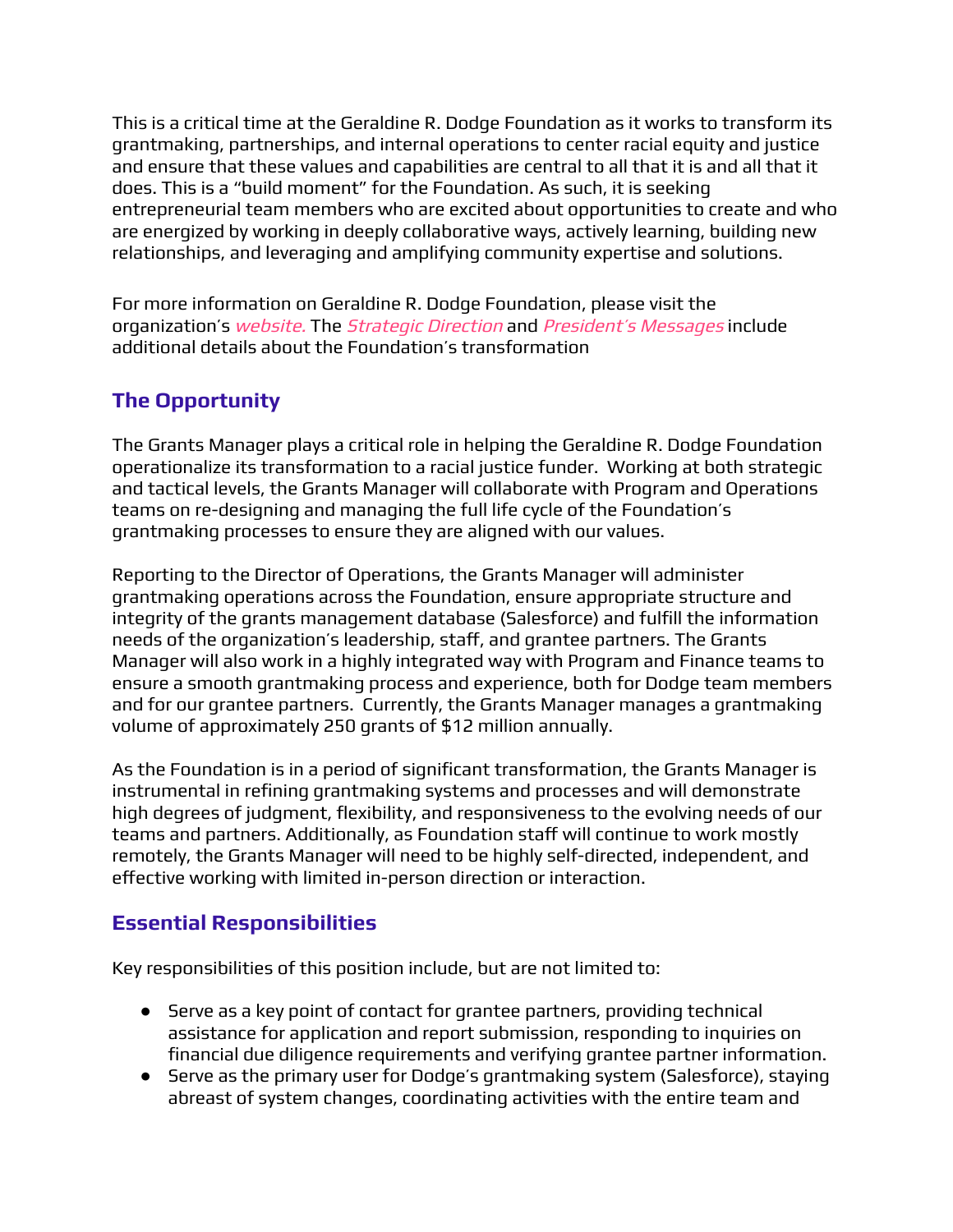This is a critical time at the Geraldine R. Dodge Foundation as it works to transform its grantmaking, partnerships, and internal operations to center racial equity and justice and ensure that these values and capabilities are central to all that it is and all that it does. This is a "build moment" for the Foundation. As such, it is seeking entrepreneurial team members who are excited about opportunities to create and who are energized by working in deeply collaborative ways, actively learning, building new relationships, and leveraging and amplifying community expertise and solutions.

For more information on Geraldine R. Dodge Foundation, please visit the organization's [website](https://www.grdodge.org/). The *[Strategic](https://www.grdodge.org/about-us/strategic-direction/) Direction* and *President's [Messages](https://blog.grdodge.org/category/presidents-message/)* include additional details about the Foundation's transformation

# **The Opportunity**

The Grants Manager plays a critical role in helping the Geraldine R. Dodge Foundation operationalize its transformation to a racial justice funder. Working at both strategic and tactical levels, the Grants Manager will collaborate with Program and Operations teams on re-designing and managing the full life cycle of the Foundation's grantmaking processes to ensure they are aligned with our values.

Reporting to the Director of Operations, the Grants Manager will administer grantmaking operations across the Foundation, ensure appropriate structure and integrity of the grants management database (Salesforce) and fulfill the information needs of the organization's leadership, staff, and grantee partners. The Grants Manager will also work in a highly integrated way with Program and Finance teams to ensure a smooth grantmaking process and experience, both for Dodge team members and for our grantee partners. Currently, the Grants Manager manages a grantmaking volume of approximately 250 grants of \$12 million annually.

As the Foundation is in a period of significant transformation, the Grants Manager is instrumental in refining grantmaking systems and processes and will demonstrate high degrees of judgment, flexibility, and responsiveness to the evolving needs of our teams and partners. Additionally, as Foundation staff will continue to work mostly remotely, the Grants Manager will need to be highly self-directed, independent, and effective working with limited in-person direction or interaction.

### **Essential Responsibilities**

Key responsibilities of this position include, but are not limited to:

- Serve as a key point of contact for grantee partners, providing technical assistance for application and report submission, responding to inquiries on financial due diligence requirements and verifying grantee partner information.
- Serve as the primary user for Dodge's grantmaking system (Salesforce), staying abreast of system changes, coordinating activities with the entire team and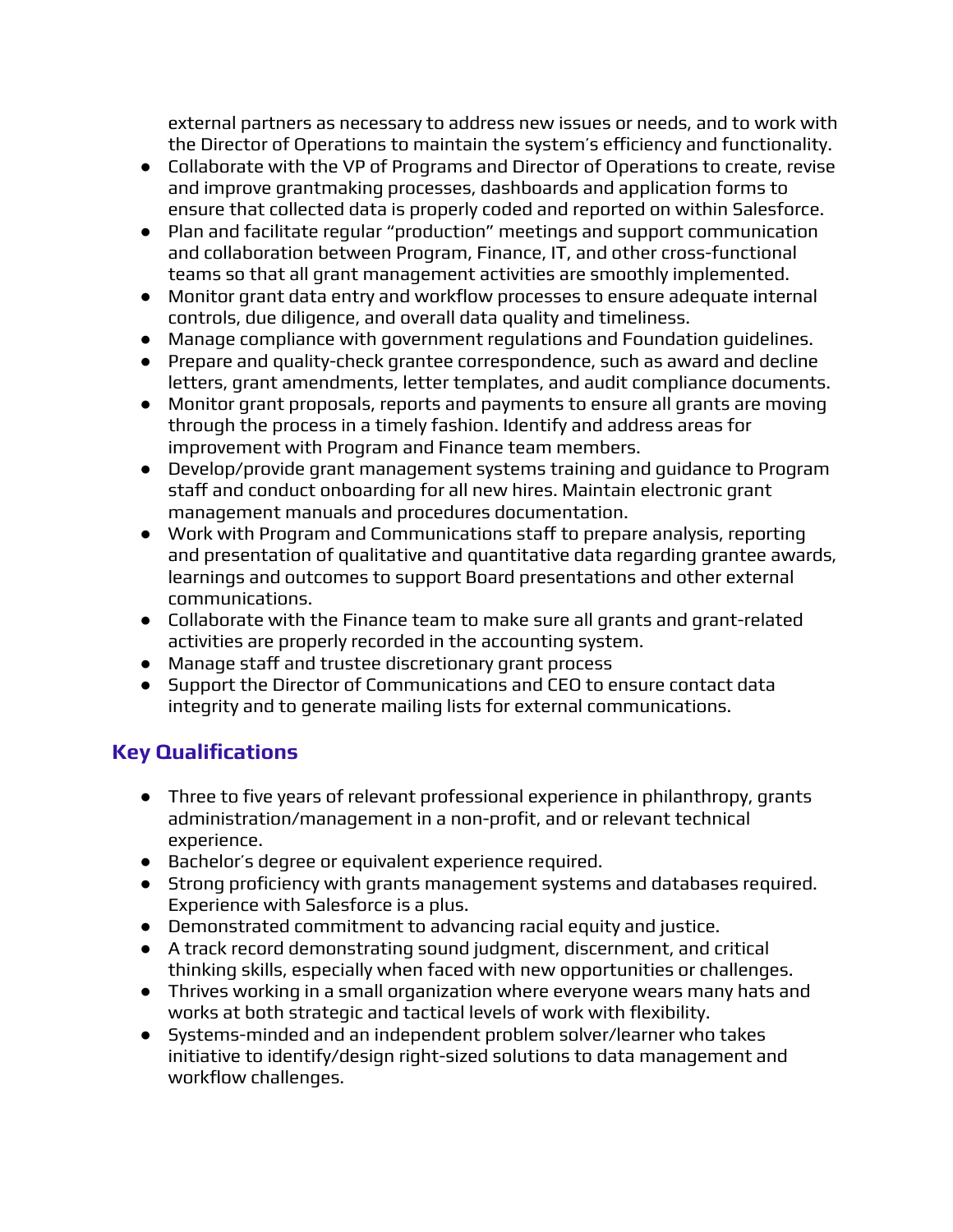external partners as necessary to address new issues or needs, and to work with the Director of Operations to maintain the system's efficiency and functionality.

- Collaborate with the VP of Programs and Director of Operations to create, revise and improve grantmaking processes, dashboards and application forms to ensure that collected data is properly coded and reported on within Salesforce.
- Plan and facilitate regular "production" meetings and support communication and collaboration between Program, Finance, IT, and other cross-functional teams so that all grant management activities are smoothly implemented.
- Monitor grant data entry and workflow processes to ensure adequate internal controls, due diligence, and overall data quality and timeliness.
- Manage compliance with government regulations and Foundation guidelines.
- Prepare and quality-check grantee correspondence, such as award and decline letters, grant amendments, letter templates, and audit compliance documents.
- Monitor grant proposals, reports and payments to ensure all grants are moving through the process in a timely fashion. Identify and address areas for improvement with Program and Finance team members.
- Develop/provide grant management systems training and guidance to Program staff and conduct onboarding for all new hires. Maintain electronic grant management manuals and procedures documentation.
- Work with Program and Communications staff to prepare analysis, reporting and presentation of qualitative and quantitative data regarding grantee awards, learnings and outcomes to support Board presentations and other external communications.
- Collaborate with the Finance team to make sure all grants and grant-related activities are properly recorded in the accounting system.
- Manage staff and trustee discretionary grant process
- Support the Director of Communications and CEO to ensure contact data integrity and to generate mailing lists for external communications.

# **Key Qualifications**

- Three to five years of relevant professional experience in philanthropy, grants administration/management in a non-profit, and or relevant technical experience.
- Bachelor's degree or equivalent experience required.
- Strong proficiency with grants management systems and databases required. Experience with Salesforce is a plus.
- Demonstrated commitment to advancing racial equity and justice.
- A track record demonstrating sound judgment, discernment, and critical thinking skills, especially when faced with new opportunities or challenges.
- Thrives working in a small organization where everyone wears many hats and works at both strategic and tactical levels of work with flexibility.
- Systems-minded and an independent problem solver/learner who takes initiative to identify/design right-sized solutions to data management and workflow challenges.